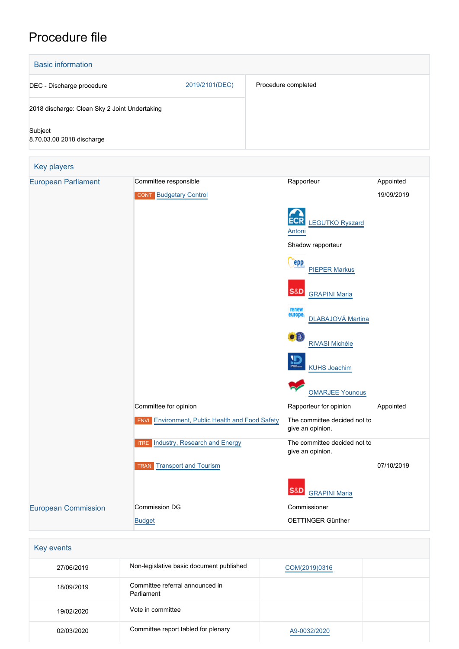# Procedure file



| Key events |                                               |               |  |  |  |  |
|------------|-----------------------------------------------|---------------|--|--|--|--|
| 27/06/2019 | Non-legislative basic document published      | COM(2019)0316 |  |  |  |  |
| 18/09/2019 | Committee referral announced in<br>Parliament |               |  |  |  |  |
| 19/02/2020 | Vote in committee                             |               |  |  |  |  |
| 02/03/2020 | Committee report tabled for plenary           | A9-0032/2020  |  |  |  |  |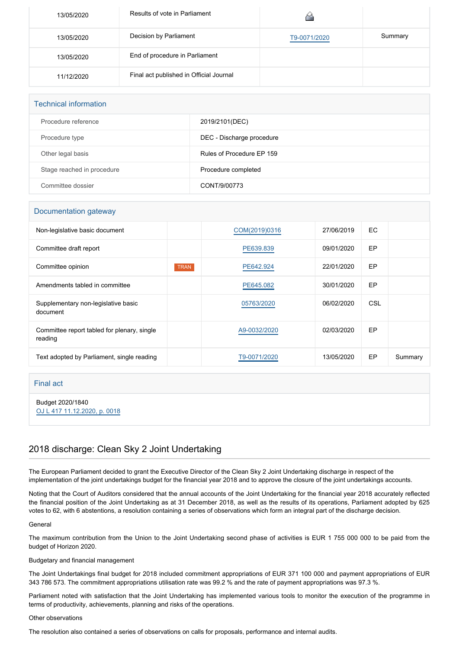| 13/05/2020 | Results of vote in Parliament           |              |         |
|------------|-----------------------------------------|--------------|---------|
| 13/05/2020 | Decision by Parliament                  | T9-0071/2020 | Summary |
| 13/05/2020 | End of procedure in Parliament          |              |         |
| 11/12/2020 | Final act published in Official Journal |              |         |

| <b>Technical information</b> |                           |  |  |  |
|------------------------------|---------------------------|--|--|--|
| Procedure reference          | 2019/2101(DEC)            |  |  |  |
| Procedure type               | DEC - Discharge procedure |  |  |  |
| Other legal basis            | Rules of Procedure EP 159 |  |  |  |
| Stage reached in procedure   | Procedure completed       |  |  |  |
| Committee dossier            | CONT/9/00773              |  |  |  |

### Documentation gateway

| Non-legislative basic document                         |             | COM(2019)0316 | 27/06/2019 | EC  |         |
|--------------------------------------------------------|-------------|---------------|------------|-----|---------|
| Committee draft report                                 |             | PE639.839     | 09/01/2020 | EP  |         |
| Committee opinion                                      | <b>TRAN</b> | PE642.924     | 22/01/2020 | EP  |         |
| Amendments tabled in committee                         |             | PE645.082     | 30/01/2020 | EP  |         |
| Supplementary non-legislative basic<br>document        |             | 05763/2020    | 06/02/2020 | CSL |         |
| Committee report tabled for plenary, single<br>reading |             | A9-0032/2020  | 02/03/2020 | EP  |         |
| Text adopted by Parliament, single reading             |             | T9-0071/2020  | 13/05/2020 | EP  | Summary |

### Final act

Budget 2020/1840 [OJ L 417 11.12.2020, p. 0018](https://eur-lex.europa.eu/legal-content/EN/TXT/?uri=OJ:L:2020:417:TOC)

## 2018 discharge: Clean Sky 2 Joint Undertaking

The European Parliament decided to grant the Executive Director of the Clean Sky 2 Joint Undertaking discharge in respect of the implementation of the joint undertakings budget for the financial year 2018 and to approve the closure of the joint undertakings accounts.

Noting that the Court of Auditors considered that the annual accounts of the Joint Undertaking for the financial year 2018 accurately reflected the financial position of the Joint Undertaking as at 31 December 2018, as well as the results of its operations, Parliament adopted by 625 votes to 62, with 6 abstentions, a resolution containing a series of observations which form an integral part of the discharge decision.

### General

The maximum contribution from the Union to the Joint Undertaking second phase of activities is EUR 1 755 000 000 to be paid from the budget of Horizon 2020.

### Budgetary and financial management

The Joint Undertakings final budget for 2018 included commitment appropriations of EUR 371 100 000 and payment appropriations of EUR 343 786 573. The commitment appropriations utilisation rate was 99.2 % and the rate of payment appropriations was 97.3 %.

Parliament noted with satisfaction that the Joint Undertaking has implemented various tools to monitor the execution of the programme in terms of productivity, achievements, planning and risks of the operations.

#### Other observations

The resolution also contained a series of observations on calls for proposals, performance and internal audits.